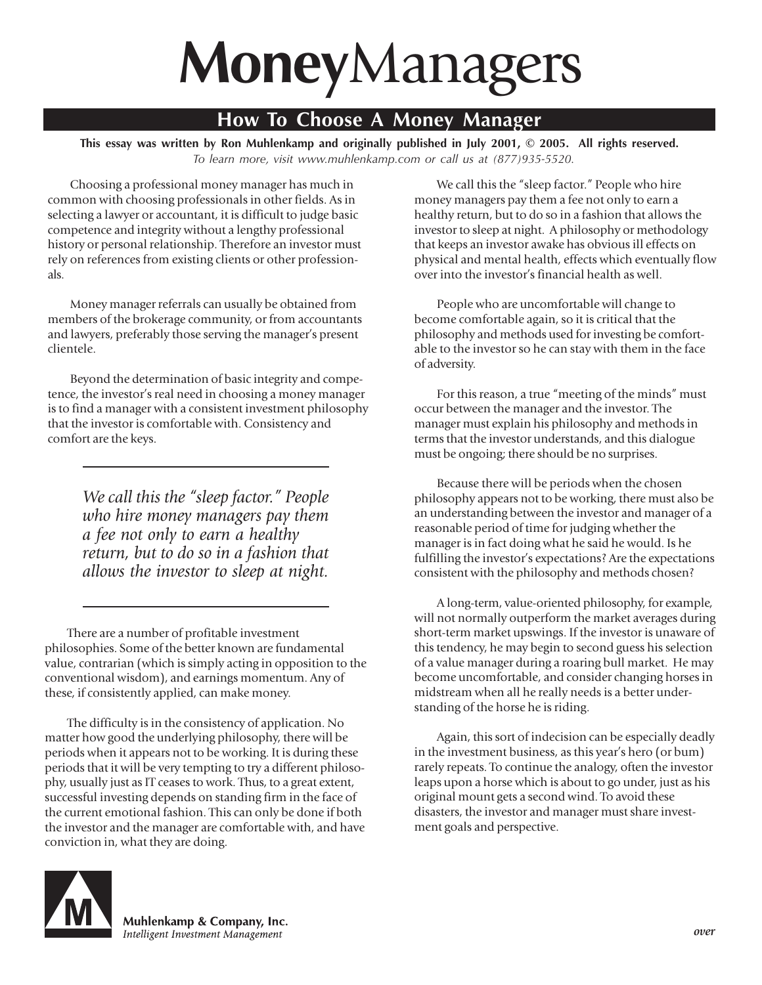## **Money**Managers

## **How To Choose A Money Manager**

**This essay was written by Ron Muhlenkamp and originally published in July 2001, © 2005. All rights reserved.** *To learn more, visit www.muhlenkamp.com or call us at (877)935-5520.*

Choosing a professional money manager has much in common with choosing professionals in other fields. As in selecting a lawyer or accountant, it is difficult to judge basic competence and integrity without a lengthy professional history or personal relationship. Therefore an investor must rely on references from existing clients or other professionals.

Money manager referrals can usually be obtained from members of the brokerage community, or from accountants and lawyers, preferably those serving the manager's present clientele.

Beyond the determination of basic integrity and competence, the investor's real need in choosing a money manager is to find a manager with a consistent investment philosophy that the investor is comfortable with. Consistency and comfort are the keys.

> *We call this the "sleep factor." People who hire money managers pay them a fee not only to earn a healthy return, but to do so in a fashion that allows the investor to sleep at night.*

There are a number of profitable investment philosophies. Some of the better known are fundamental value, contrarian (which is simply acting in opposition to the conventional wisdom), and earnings momentum. Any of these, if consistently applied, can make money.

The difficulty is in the consistency of application. No matter how good the underlying philosophy, there will be periods when it appears not to be working. It is during these periods that it will be very tempting to try a different philosophy, usually just as IT ceases to work. Thus, to a great extent, successful investing depends on standing firm in the face of the current emotional fashion. This can only be done if both the investor and the manager are comfortable with, and have conviction in, what they are doing.

We call this the "sleep factor." People who hire money managers pay them a fee not only to earn a healthy return, but to do so in a fashion that allows the investor to sleep at night. A philosophy or methodology that keeps an investor awake has obvious ill effects on physical and mental health, effects which eventually flow over into the investor's financial health as well.

People who are uncomfortable will change to become comfortable again, so it is critical that the philosophy and methods used for investing be comfortable to the investor so he can stay with them in the face of adversity.

For this reason, a true "meeting of the minds" must occur between the manager and the investor. The manager must explain his philosophy and methods in terms that the investor understands, and this dialogue must be ongoing; there should be no surprises.

Because there will be periods when the chosen philosophy appears not to be working, there must also be an understanding between the investor and manager of a reasonable period of time for judging whether the manager is in fact doing what he said he would. Is he fulfilling the investor's expectations? Are the expectations consistent with the philosophy and methods chosen?

A long-term, value-oriented philosophy, for example, will not normally outperform the market averages during short-term market upswings. If the investor is unaware of this tendency, he may begin to second guess his selection of a value manager during a roaring bull market. He may become uncomfortable, and consider changing horses in midstream when all he really needs is a better understanding of the horse he is riding.

Again, this sort of indecision can be especially deadly in the investment business, as this year's hero (or bum) rarely repeats. To continue the analogy, often the investor leaps upon a horse which is about to go under, just as his original mount gets a second wind. To avoid these disasters, the investor and manager must share investment goals and perspective.



Muhlenkamp & Company, Inc. Intelligent Investment Management